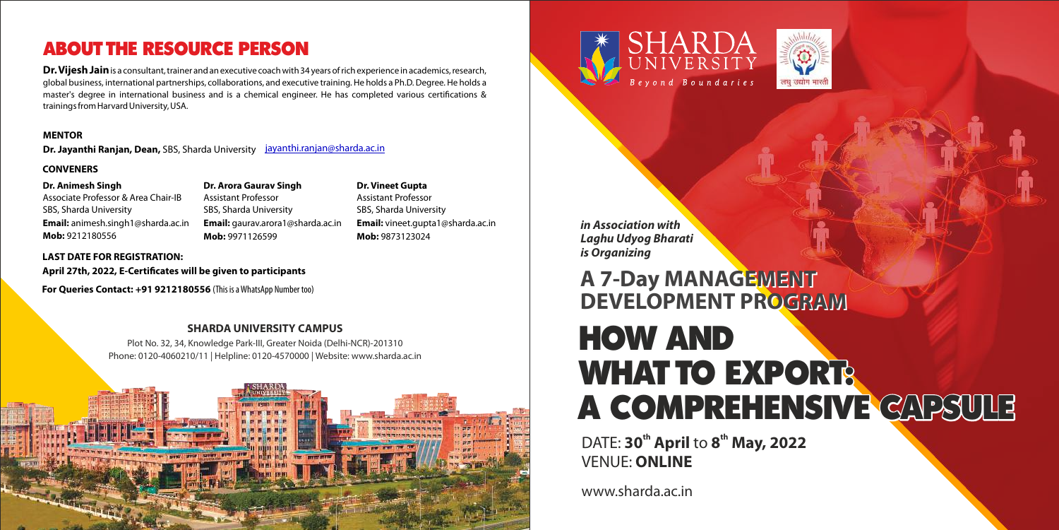### **SHARDA UNIVERSITY CAMPUS**

Plot No. 32, 34, Knowledge Park-III, Greater Noida (Delhi-NCR)-201310 Phone: 0120-4060210/11 | Helpline: 0120-4570000 | Website: www.sharda.ac.in







**DATE: 30<sup>th</sup> April to 8<sup>th</sup> May, 2022** VENUE: **ONLINE** 

**Dr. Vijesh Jain**is a consultant, trainer and an executive coach with 34 years of rich experience in academics, research, global business, international partnerships, collaborations, and executive training. He holds a Ph.D. Degree. He holds a master's degree in international business and is a chemical engineer. He has completed various certifications & trainings from Harvard University, USA.

## ABOUT THE RESOURCE PERSON

www.sharda.ac.in



### **MENTOR**

### **CONVENERS**

### **Dr. Animesh Singh**

Associate Professor & Area Chair-IB SBS, Sharda University **Email:** animesh.singh1@sharda.ac.in **Mob:** 9212180556

**Dr. Arora Gaurav Singh** Assistant Professor SBS, Sharda University **Email:** gaurav.arora1@sharda.ac.in **Mob:** 9971126599

**Dr. Vineet Gupta** Assistant Professor SBS, Sharda University **Email:** vineet.gupta1@sharda.ac.in **Mob:** 9873123024

**Dr. Jayanthi Ranjan, Dean,** SBS, Sharda University [jayanthi.ranjan@sharda.ac.in](mailto:jayanthi.ranjan@sharda.ac.in)

### **LAST DATE FOR REGISTRATION:**

April 27th, 2022, E-Certificates will be given to participants

# HOW AND WHAT TO EXPORTS A COMPREHENSIVE CAPSULE **A 7-Day MANAGEMENT A 7-Day MANAGEMENT DEVELOPMENT PROGRAM DEVELOPMENT PROGRAM**

**in Association with Laghu Udyog Bharati is Organizing** 

**For Queries Contact: +91 9212180556** (This is a WhatsApp Number too)